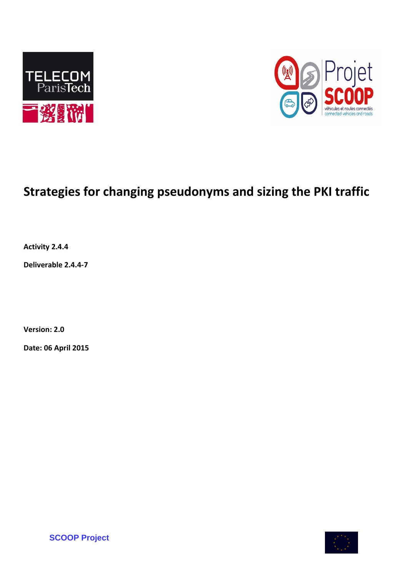



# **Strategies for changing pseudonyms and sizing the PKI traffic**

**Activity 2.4.4**

**Deliverable 2.4.4-7**

**Version: 2.0**

**Date: 06 April 2015**



**SCOOP Project**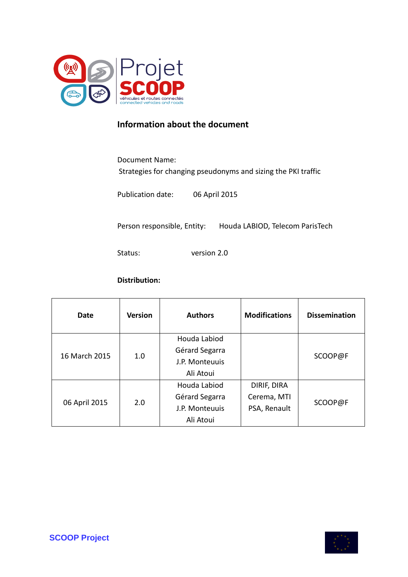

## **Information about the document**

Document Name:

Strategies for changing pseudonyms and sizing the PKI traffic

Publication date: 06 April 2015

Person responsible, Entity: Houda LABIOD, Telecom ParisTech

Status: version 2.0

#### **Distribution:**

| Date          | <b>Version</b> | <b>Authors</b> | <b>Modifications</b> | <b>Dissemination</b> |
|---------------|----------------|----------------|----------------------|----------------------|
| 16 March 2015 | 1.0            | Houda Labiod   |                      | SCOOP@F              |
|               |                | Gérard Segarra |                      |                      |
|               |                | J.P. Monteuuis |                      |                      |
|               |                | Ali Atoui      |                      |                      |
| 06 April 2015 | 2.0            | Houda Labiod   | DIRIF, DIRA          | SCOOP@F              |
|               |                | Gérard Segarra | Cerema, MTI          |                      |
|               |                | J.P. Monteuuis | PSA, Renault         |                      |
|               |                | Ali Atoui      |                      |                      |

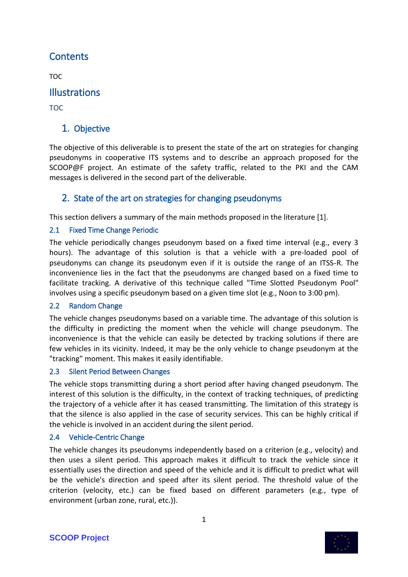# **Contents**

TOC

## **Illustrations**

TOC

## 1. Objective

The objective of this deliverable is to present the state of the art on strategies for changing pseudonyms in cooperative ITS systems and to describe an approach proposed for the SCOOP@F project. An estimate of the safety traffic, related to the PKI and the CAM messages is delivered in the second part of the deliverable.

## 2. State of the art on strategies for changing pseudonyms

This section delivers a summary of the main methods proposed in the literature [1].

### 2.1 Fixed Time Change Periodic

The vehicle periodically changes pseudonym based on a fixed time interval (e.g., every 3 hours). The advantage of this solution is that a vehicle with a pre-loaded pool of pseudonyms can change its pseudonym even if it is outside the range of an ITSS-R. The inconvenience lies in the fact that the pseudonyms are changed based on a fixed time to facilitate tracking. A derivative of this technique called "Time Slotted Pseudonym Pool" involves using a specific pseudonym based on a given time slot (e.g., Noon to 3:00 pm).

#### 2.2 Random Change

The vehicle changes pseudonyms based on a variable time. The advantage of this solution is the difficulty in predicting the moment when the vehicle will change pseudonym. The inconvenience is that the vehicle can easily be detected by tracking solutions if there are few vehicles in its vicinity. Indeed, it may be the only vehicle to change pseudonym at the "tracking" moment. This makes it easily identifiable.

#### 2.3 Silent Period Between Changes

The vehicle stops transmitting during a short period after having changed pseudonym. The interest of this solution is the difficulty, in the context of tracking techniques, of predicting the trajectory of a vehicle after it has ceased transmitting. The limitation of this strategy is that the silence is also applied in the case of security services. This can be highly critical if the vehicle is involved in an accident during the silent period.

#### 2.4 Vehicle-Centric Change

The vehicle changes its pseudonyms independently based on a criterion (e.g., velocity) and then uses a silent period. This approach makes it difficult to track the vehicle since it essentially uses the direction and speed of the vehicle and it is difficult to predict what will be the vehicle's direction and speed after its silent period. The threshold value of the criterion (velocity, etc.) can be fixed based on different parameters (e.g., type of environment (urban zone, rural, etc.)).

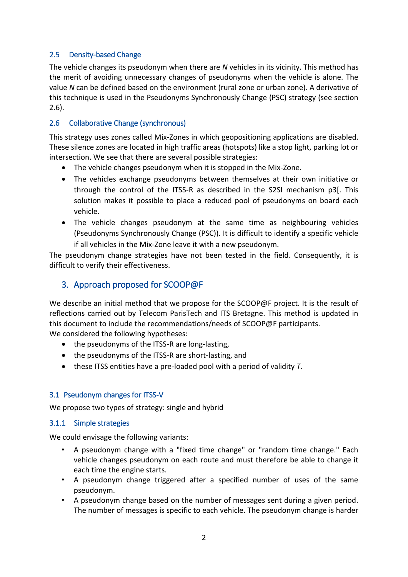#### 2.5 Density-based Change

The vehicle changes its pseudonym when there are *N* vehicles in its vicinity. This method has the merit of avoiding unnecessary changes of pseudonyms when the vehicle is alone. The value *N* can be defined based on the environment (rural zone or urban zone). A derivative of this technique is used in the Pseudonyms Synchronously Change (PSC) strategy (see section 2.6).

#### 2.6 Collaborative Change (synchronous)

This strategy uses zones called Mix-Zones in which geopositioning applications are disabled. These silence zones are located in high traffic areas (hotspots) like a stop light, parking lot or intersection. We see that there are several possible strategies:

- The vehicle changes pseudonym when it is stopped in the Mix-Zone.
- The vehicles exchange pseudonyms between themselves at their own initiative or through the control of the ITSS-R as described in the S2SI mechanism p3[. This solution makes it possible to place a reduced pool of pseudonyms on board each vehicle.
- The vehicle changes pseudonym at the same time as neighbouring vehicles (Pseudonyms Synchronously Change (PSC)). It is difficult to identify a specific vehicle if all vehicles in the Mix-Zone leave it with a new pseudonym.

The pseudonym change strategies have not been tested in the field. Consequently, it is difficult to verify their effectiveness.

## 3. Approach proposed for SCOOP@F

We describe an initial method that we propose for the SCOOP@F project. It is the result of reflections carried out by Telecom ParisTech and ITS Bretagne. This method is updated in this document to include the recommendations/needs of SCOOP@F participants. We considered the following hypotheses:

- the pseudonyms of the ITSS-R are long-lasting,
- the pseudonyms of the ITSS-R are short-lasting, and
- these ITSS entities have a pre-loaded pool with a period of validity *T.*

#### 3.1 Pseudonym changes for ITSS-V

We propose two types of strategy: single and hybrid

#### 3.1.1 Simple strategies

We could envisage the following variants:

- A pseudonym change with a "fixed time change" or "random time change." Each vehicle changes pseudonym on each route and must therefore be able to change it each time the engine starts.
- A pseudonym change triggered after a specified number of uses of the same pseudonym.
- A pseudonym change based on the number of messages sent during a given period. The number of messages is specific to each vehicle. The pseudonym change is harder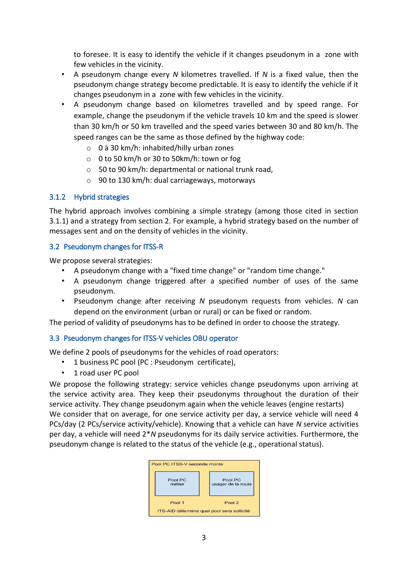to foresee. It is easy to identify the vehicle if it changes pseudonym in a zone with few vehicles in the vicinity.

- A pseudonym change every *N* kilometres travelled. If *N* is a fixed value, then the pseudonym change strategy become predictable. It is easy to identify the vehicle if it changes pseudonym in a zone with few vehicles in the vicinity.
- A pseudonym change based on kilometres travelled and by speed range. For example, change the pseudonym if the vehicle travels 10 km and the speed is slower than 30 km/h or 50 km travelled and the speed varies between 30 and 80 km/h. The speed ranges can be the same as those defined by the highway code:
	- o 0 à 30 km/h: inhabited/hilly urban zones
	- o 0 to 50 km/h or 30 to 50km/h: town or fog
	- o 50 to 90 km/h: departmental or national trunk road,
	- o 90 to 130 km/h: dual carriageways, motorways

#### 3.1.2 Hybrid strategies

The hybrid approach involves combining a simple strategy (among those cited in section 3.1.1) and a strategy from section 2. For example, a hybrid strategy based on the number of messages sent and on the density of vehicles in the vicinity.

#### 3.2 Pseudonym changes for ITSS-R

We propose several strategies:

- A pseudonym change with a "fixed time change" or "random time change."
- A pseudonym change triggered after a specified number of uses of the same pseudonym.
- Pseudonym change after receiving *N* pseudonym requests from vehicles. *N* can depend on the environment (urban or rural) or can be fixed or random.

The period of validity of pseudonyms has to be defined in order to choose the strategy.

#### 3.3 Pseudonym changes for ITSS-V vehicles OBU operator

We define 2 pools of pseudonyms for the vehicles of road operators:

- 1 business PC pool (PC : Pseudonym certificate),
- 1 road user PC pool

We propose the following strategy: service vehicles change pseudonyms upon arriving at the service activity area. They keep their pseudonyms throughout the duration of their service activity. They change pseudonym again when the vehicle leaves (engine restarts) We consider that on average, for one service activity per day, a service vehicle will need 4 PCs/day (2 PCs/service activity/vehicle). Knowing that a vehicle can have *N* service activities per day, a vehicle will need 2\**N* pseudonyms for its daily service activities. Furthermore, the pseudonym change is related to the status of the vehicle (e.g., operational status).

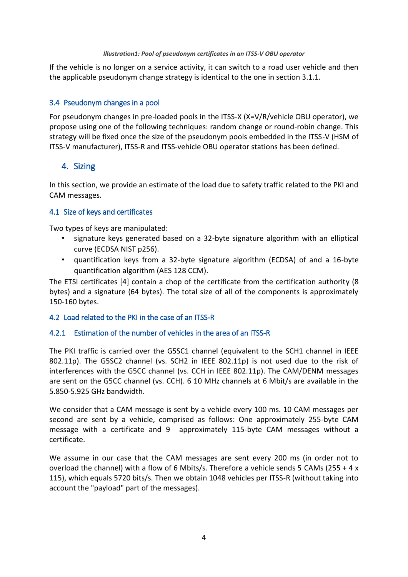#### *Illustration1: Pool of pseudonym certificates in an ITSS-V OBU operator*

If the vehicle is no longer on a service activity, it can switch to a road user vehicle and then the applicable pseudonym change strategy is identical to the one in section 3.1.1.

#### 3.4 Pseudonym changes in a pool

For pseudonym changes in pre-loaded pools in the ITSS-X (X=V/R/vehicle OBU operator), we propose using one of the following techniques: random change or round-robin change. This strategy will be fixed once the size of the pseudonym pools embedded in the ITSS-V (HSM of ITSS-V manufacturer), ITSS-R and ITSS-vehicle OBU operator stations has been defined.

#### 4. Sizing

In this section, we provide an estimate of the load due to safety traffic related to the PKI and CAM messages.

#### 4.1 Size of keys and certificates

Two types of keys are manipulated:

- signature keys generated based on a 32-byte signature algorithm with an elliptical curve (ECDSA NIST p256).
- quantification keys from a 32-byte signature algorithm (ECDSA) of and a 16-byte quantification algorithm (AES 128 CCM).

The ETSI certificates [4] contain a chop of the certificate from the certification authority (8 bytes) and a signature (64 bytes). The total size of all of the components is approximately 150-160 bytes.

#### 4.2 Load related to the PKI in the case of an ITSS-R

#### 4.2.1 Estimation of the number of vehicles in the area of an ITSS-R

The PKI traffic is carried over the G5SC1 channel (equivalent to the SCH1 channel in IEEE 802.11p). The G5SC2 channel (vs. SCH2 in IEEE 802.11p) is not used due to the risk of interferences with the G5CC channel (vs. CCH in IEEE 802.11p). The CAM/DENM messages are sent on the G5CC channel (vs. CCH). 6 10 MHz channels at 6 Mbit/s are available in the 5.850-5.925 GHz bandwidth.

We consider that a CAM message is sent by a vehicle every 100 ms. 10 CAM messages per second are sent by a vehicle, comprised as follows: One approximately 255-byte CAM message with a certificate and 9 approximately 115-byte CAM messages without a certificate.

We assume in our case that the CAM messages are sent every 200 ms (in order not to overload the channel) with a flow of 6 Mbits/s. Therefore a vehicle sends 5 CAMs (255 + 4 x 115), which equals 5720 bits/s. Then we obtain 1048 vehicles per ITSS-R (without taking into account the "payload" part of the messages).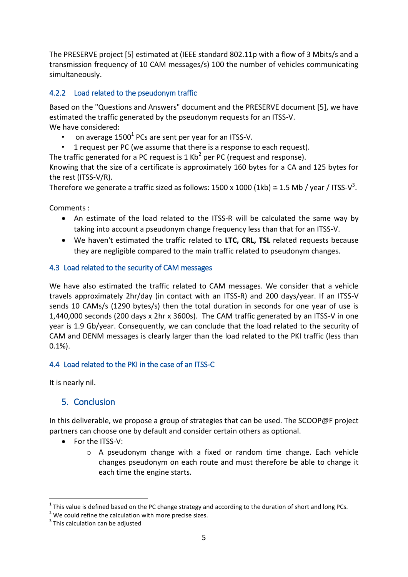The PRESERVE project [5] estimated at (IEEE standard 802.11p with a flow of 3 Mbits/s and a transmission frequency of 10 CAM messages/s) 100 the number of vehicles communicating simultaneously.

#### 4.2.2 Load related to the pseudonym traffic

Based on the "Questions and Answers" document and the PRESERVE document [5], we have estimated the traffic generated by the pseudonym requests for an ITSS-V. We have considered:

- on average 1500 $^{1}$  PCs are sent per year for an ITSS-V.
- 1 request per PC (we assume that there is a response to each request).

The traffic generated for a PC request is 1 Kb<sup>2</sup> per PC (request and response).

Knowing that the size of a certificate is approximately 160 bytes for a CA and 125 bytes for the rest (ITSS-V/R).

Therefore we generate a traffic sized as follows: 1500 x 1000 (1kb)  $\cong$  1.5 Mb / year / ITSS-V<sup>3</sup>.

Comments :

- An estimate of the load related to the ITSS-R will be calculated the same way by taking into account a pseudonym change frequency less than that for an ITSS-V.
- We haven't estimated the traffic related to **LTC, CRL, TSL** related requests because they are negligible compared to the main traffic related to pseudonym changes.

#### 4.3 Load related to the security of CAM messages

We have also estimated the traffic related to CAM messages. We consider that a vehicle travels approximately 2hr/day (in contact with an ITSS-R) and 200 days/year. If an ITSS-V sends 10 CAMs/s (1290 bytes/s) then the total duration in seconds for one year of use is 1,440,000 seconds (200 days x 2hr x 3600s). The CAM traffic generated by an ITSS-V in one year is 1.9 Gb/year. Consequently, we can conclude that the load related to the security of CAM and DENM messages is clearly larger than the load related to the PKI traffic (less than 0.1%).

#### 4.4 Load related to the PKI in the case of an ITSS-C

It is nearly nil.

1

## 5. Conclusion

In this deliverable, we propose a group of strategies that can be used. The SCOOP@F project partners can choose one by default and consider certain others as optional.

- For the ITSS-V:
	- $\circ$  A pseudonym change with a fixed or random time change. Each vehicle changes pseudonym on each route and must therefore be able to change it each time the engine starts.

 $^1$  This value is defined based on the PC change strategy and according to the duration of short and long PCs.

 $2$  We could refine the calculation with more precise sizes.

<sup>&</sup>lt;sup>3</sup> This calculation can be adjusted